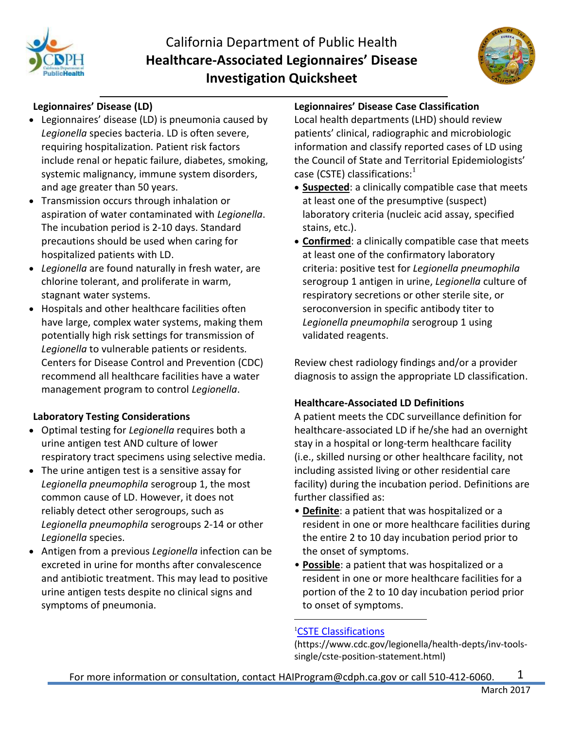

# California Department of Public Health **Healthcare-Associated Legionnaires' Disease Investigation Quicksheet**



# **Legionnaires' Disease (LD)**

- Legionnaires' disease (LD) is pneumonia caused by *Legionella* species bacteria. LD is often severe, requiring hospitalization*.* Patient risk factors include renal or hepatic failure, diabetes, smoking, systemic malignancy, immune system disorders, and age greater than 50 years.
- Transmission occurs through inhalation or aspiration of water contaminated with *Legionella*. The incubation period is 2-10 days. Standard precautions should be used when caring for hospitalized patients with LD.
- *Legionella* are found naturally in fresh water, are chlorine tolerant, and proliferate in warm, stagnant water systems.
- Hospitals and other healthcare facilities often have large, complex water systems, making them potentially high risk settings for transmission of *Legionella* to vulnerable patients or residents*.* Centers for Disease Control and Prevention (CDC) recommend all healthcare facilities have a water management program to control *Legionella*.

#### **Laboratory Testing Considerations**

- Optimal testing for *Legionella* requires both a urine antigen test AND culture of lower respiratory tract specimens using selective media.
- The urine antigen test is a sensitive assay for *Legionella pneumophila* serogroup 1, the most common cause of LD. However, it does not reliably detect other serogroups, such as *Legionella pneumophila* serogroups 2-14 or other *Legionella* species.
- Antigen from a previous *Legionella* infection can be excreted in urine for months after convalescence and antibiotic treatment. This may lead to positive urine antigen tests despite no clinical signs and symptoms of pneumonia.

#### **Legionnaires' Disease Case Classification**

Local health departments (LHD) should review patients' clinical, radiographic and microbiologic information and classify reported cases of LD using the Council of State and Territorial Epidemiologists' case (CSTE) classifications:  $^1$ 

- **Suspected**: a clinically compatible case that meets at least one of the presumptive (suspect) laboratory criteria (nucleic acid assay, specified stains, etc.).
- **Confirmed**: a clinically compatible case that meets at least one of the confirmatory laboratory criteria: positive test for *Legionella pneumophila* serogroup 1 antigen in urine, *Legionella* culture of respiratory secretions or other sterile site, or seroconversion in specific antibody titer to *Legionella pneumophila* serogroup 1 using validated reagents.

Review chest radiology findings and/or a provider diagnosis to assign the appropriate LD classification.

#### **Healthcare-Associated LD Definitions**

A patient meets the CDC surveillance definition for healthcare-associated LD if he/she had an overnight stay in a hospital or long-term healthcare facility (i.e., skilled nursing or other healthcare facility, not including assisted living or other residential care facility) during the incubation period. Definitions are further classified as:

- **Definite**: a patient that was hospitalized or a resident in one or more healthcare facilities during the entire 2 to 10 day incubation period prior to the onset of symptoms.
- **Possible**: a patient that was hospitalized or a resident in one or more healthcare facilities for a portion of the 2 to 10 day incubation period prior to onset of symptoms.

#### <sup>1</sup>[CSTE Classifications](https://www.cdc.gov/legionella/health-depts/inv-tools-single/cste-position-statement.html)

(https://www.cdc.gov/legionella/health-depts/inv-toolssingle/cste-position-statement.html)

 $\overline{a}$ 

1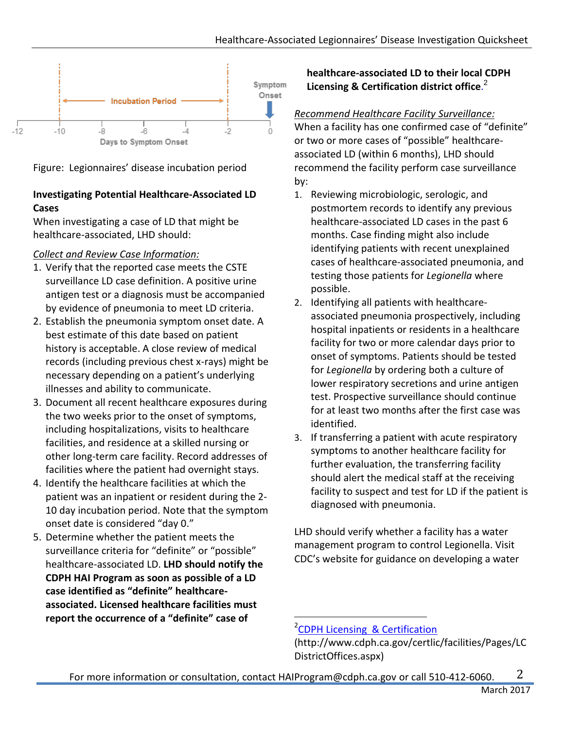

Figure: Legionnaires' disease incubation period

# **Investigating Potential Healthcare-Associated LD Cases**

When investigating a case of LD that might be healthcare-associated, LHD should:

# *Collect and Review Case Information:*

- 1. Verify that the reported case meets the CSTE surveillance LD case definition. A positive urine antigen test or a diagnosis must be accompanied by evidence of pneumonia to meet LD criteria.
- 2. Establish the pneumonia symptom onset date. A best estimate of this date based on patient history is acceptable. A close review of medical records (including previous chest x-rays) might be necessary depending on a patient's underlying illnesses and ability to communicate.
- 3. Document all recent healthcare exposures during the two weeks prior to the onset of symptoms, including hospitalizations, visits to healthcare facilities, and residence at a skilled nursing or other long-term care facility. Record addresses of facilities where the patient had overnight stays.
- 4. Identify the healthcare facilities at which the patient was an inpatient or resident during the 2- 10 day incubation period. Note that the symptom onset date is considered "day 0."
- 5. Determine whether the patient meets the surveillance criteria for "definite" or "possible" healthcare-associated LD. **LHD should notify the CDPH HAI Program as soon as possible of a LD case identified as "definite" healthcareassociated. Licensed healthcare facilities must report the occurrence of a "definite" case of**

# **healthcare-associated LD to their local CDPH Licensing & Certification district office**. 2

# *Recommend Healthcare Facility Surveillance:*

When a facility has one confirmed case of "definite" or two or more cases of "possible" healthcareassociated LD (within 6 months), LHD should recommend the facility perform case surveillance by:

- 1. Reviewing microbiologic, serologic, and postmortem records to identify any previous healthcare-associated LD cases in the past 6 months. Case finding might also include identifying patients with recent unexplained cases of healthcare-associated pneumonia, and testing those patients for *Legionella* where possible.
- 2. Identifying all patients with healthcareassociated pneumonia prospectively, including hospital inpatients or residents in a healthcare facility for two or more calendar days prior to onset of symptoms. Patients should be tested for *Legionella* by ordering both a culture of lower respiratory secretions and urine antigen test. Prospective surveillance should continue for at least two months after the first case was identified.
- 3. If transferring a patient with acute respiratory symptoms to another healthcare facility for further evaluation, the transferring facility should alert the medical staff at the receiving facility to suspect and test for LD if the patient is diagnosed with pneumonia.

LHD should verify whether a facility has a water management program to control Legionella. Visit CDC's website for guidance on developing a water

 $\overline{a}$ 

<sup>&</sup>lt;sup>2</sup>[CDPH Licensing & Certification](http://www.cdph.ca.gov/certlic/facilities/Pages/LCDistrictOffices.aspx)

<sup>(</sup>http://www.cdph.ca.gov/certlic/facilities/Pages/LC DistrictOffices.aspx)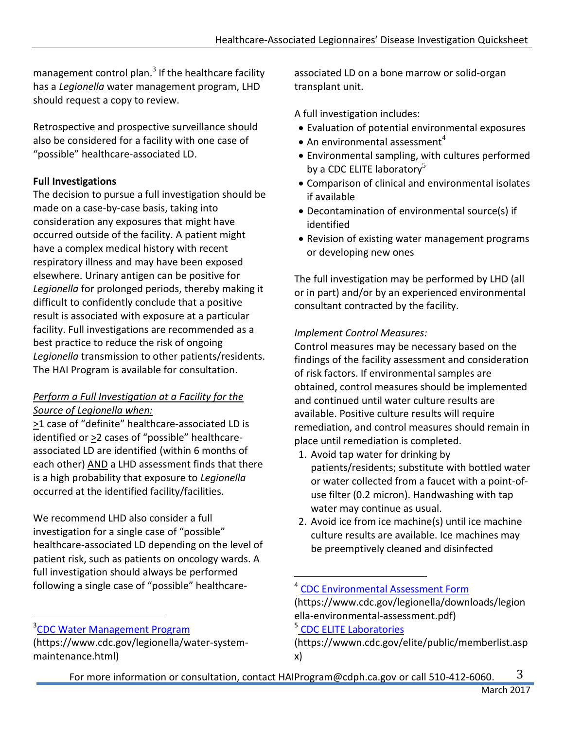management control plan. $^3$  If the healthcare facility has a *Legionella* water management program, LHD should request a copy to review.

Retrospective and prospective surveillance should also be considered for a facility with one case of "possible" healthcare-associated LD.

# **Full Investigations**

The decision to pursue a full investigation should be made on a case-by-case basis, taking into consideration any exposures that might have occurred outside of the facility. A patient might have a complex medical history with recent respiratory illness and may have been exposed elsewhere. Urinary antigen can be positive for *Legionella* for prolonged periods, thereby making it difficult to confidently conclude that a positive result is associated with exposure at a particular facility. Full investigations are recommended as a best practice to reduce the risk of ongoing *Legionella* transmission to other patients/residents. The HAI Program is available for consultation.

# *Perform a Full Investigation at a Facility for the Source of Legionella when:*

>1 case of "definite" healthcare-associated LD is identified or  $\geq$ 2 cases of "possible" healthcareassociated LD are identified (within 6 months of each other) AND a LHD assessment finds that there is a high probability that exposure to *Legionella* occurred at the identified facility/facilities.

We recommend LHD also consider a full investigation for a single case of "possible" healthcare-associated LD depending on the level of patient risk, such as patients on oncology wards. A full investigation should always be performed following a single case of "possible" healthcare-

 $\overline{a}$ 

associated LD on a bone marrow or solid-organ transplant unit.

A full investigation includes:

- Evaluation of potential environmental exposures
- An environmental assessment<sup>4</sup>
- Environmental sampling, with cultures performed by a CDC ELITE laboratory<sup>5</sup>
- Comparison of clinical and environmental isolates if available
- Decontamination of environmental source(s) if identified
- Revision of existing water management programs or developing new ones

The full investigation may be performed by LHD (all or in part) and/or by an experienced environmental consultant contracted by the facility.

# *Implement Control Measures:*

Control measures may be necessary based on the findings of the facility assessment and consideration of risk factors. If environmental samples are obtained, control measures should be implemented and continued until water culture results are available. Positive culture results will require remediation, and control measures should remain in place until remediation is completed.

- 1. Avoid tap water for drinking by patients/residents; substitute with bottled water or water collected from a faucet with a point-ofuse filter (0.2 micron). Handwashing with tap water may continue as usual.
- 2. Avoid ice from ice machine(s) until ice machine culture results are available. Ice machines may be preemptively cleaned and disinfected

# <sup>5</sup> [CDC ELITE Laboratories](https://wwwn.cdc.gov/elite/public/memberlist.aspx)

 $\overline{a}$ 

<sup>&</sup>lt;sup>3</sup>[CDC Water Management Program](https://www.cdc.gov/legionella/water-system-maintenance.html)

<sup>(</sup>https://www.cdc.gov/legionella/water-systemmaintenance.html)

<sup>&</sup>lt;sup>4</sup> [CDC Environmental Assessment Form](https://www.cdc.gov/legionella/downloads/legionella-environmental-assessment.pdf)

<sup>(</sup>https://www.cdc.gov/legionella/downloads/legion ella-environmental-assessment.pdf)

<sup>(</sup>https://wwwn.cdc.gov/elite/public/memberlist.asp x)